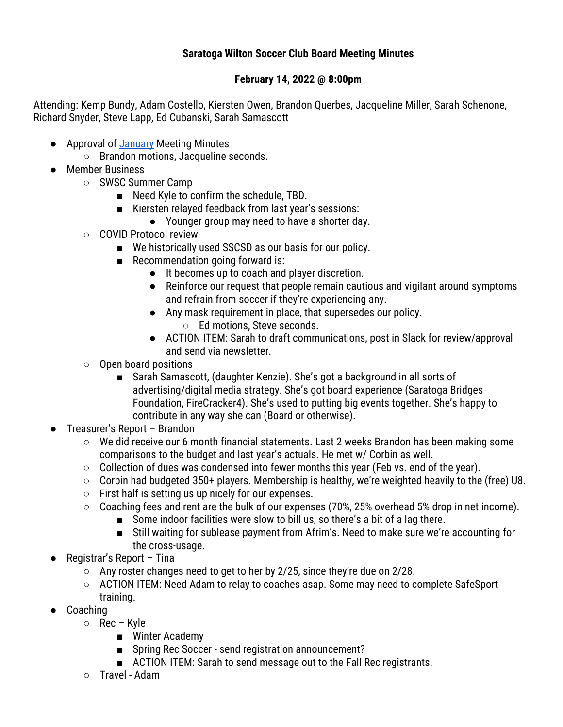## **Saratoga Wilton Soccer Club Board Meeting Minutes**

## **February 14, 2022 @ 8:00pm**

Attending: Kemp Bundy, Adam Costello, Kiersten Owen, Brandon Querbes, Jacqueline Miller, Sarah Schenone, Richard Snyder, Steve Lapp, Ed Cubanski, Sarah Samascott

- Approval of January Meeting Minutes
	- Brandon motions, Jacqueline seconds.
- Member Business
	- SWSC Summer Camp
		- Need Kyle to confirm the schedule, TBD.
		- Kiersten relayed feedback from last year's sessions:
			- Younger group may need to have a shorter day.
	- COVID Protocol review
		- We historically used SSCSD as our basis for our policy.
		- Recommendation going forward is:
			- It becomes up to coach and player discretion.
			- Reinforce our request that people remain cautious and vigilant around symptoms and refrain from soccer if they're experiencing any.
			- Any mask requirement in place, that supersedes our policy.
				- Ed motions, Steve seconds.
			- ACTION ITEM: Sarah to draft communications, post in Slack for review/approval and send via newsletter.
	- Open board positions
		- Sarah Samascott, (daughter Kenzie). She's got a background in all sorts of advertising/digital media strategy. She's got board experience (Saratoga Bridges Foundation, FireCracker4). She's used to putting big events together. She's happy to contribute in any way she can (Board or otherwise).
- Treasurer's Report Brandon
	- We did receive our 6 month financial statements. Last 2 weeks Brandon has been making some comparisons to the budget and last year's actuals. He met w/ Corbin as well.
	- Collection of dues was condensed into fewer months this year (Feb vs. end of the year).
	- $\circ$  Corbin had budgeted 350+ players. Membership is healthy, we're weighted heavily to the (free) U8.
	- $\circ$  First half is setting us up nicely for our expenses.
	- Coaching fees and rent are the bulk of our expenses (70%, 25% overhead 5% drop in net income).
		- Some indoor facilities were slow to bill us, so there's a bit of a lag there.
		- Still waiting for sublease payment from Afrim's. Need to make sure we're accounting for the cross-usage.
- Registrar's Report Tina
	- Any roster changes need to get to her by 2/25, since they're due on 2/28.
	- ACTION ITEM: Need Adam to relay to coaches asap. Some may need to complete SafeSport training.
- Coaching
	- Rec Kyle
		- Winter Academy
		- Spring Rec Soccer send registration announcement?
		- ACTION ITEM: Sarah to send message out to the Fall Rec registrants.
	- Travel Adam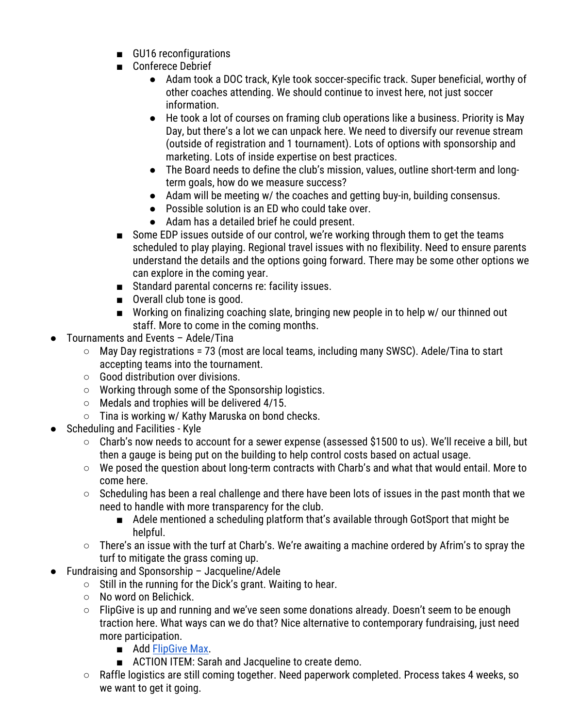- GU16 reconfigurations
- Conferece Debrief
	- Adam took a DOC track, Kyle took soccer-specific track. Super beneficial, worthy of other coaches attending. We should continue to invest here, not just soccer information.
	- He took a lot of courses on framing club operations like a business. Priority is May Day, but there's a lot we can unpack here. We need to diversify our revenue stream (outside of registration and 1 tournament). Lots of options with sponsorship and marketing. Lots of inside expertise on best practices.
	- The Board needs to define the club's mission, values, outline short-term and longterm goals, how do we measure success?
	- Adam will be meeting w/ the coaches and getting buy-in, building consensus.
	- Possible solution is an ED who could take over.
	- Adam has a detailed brief he could present.
- Some EDP issues outside of our control, we're working through them to get the teams scheduled to play playing. Regional travel issues with no flexibility. Need to ensure parents understand the details and the options going forward. There may be some other options we can explore in the coming year.
- Standard parental concerns re: facility issues.
- Overall club tone is good.
- Working on finalizing coaching slate, bringing new people in to help w/ our thinned out staff. More to come in the coming months.
- Tournaments and Events Adele/Tina
	- $\circ$  May Day registrations = 73 (most are local teams, including many SWSC). Adele/Tina to start accepting teams into the tournament.
	- Good distribution over divisions.
	- Working through some of the Sponsorship logistics.
	- Medals and trophies will be delivered 4/15.
	- Tina is working w/ Kathy Maruska on bond checks.
- **Scheduling and Facilities Kyle** 
	- Charb's now needs to account for a sewer expense (assessed \$1500 to us). We'll receive a bill, but then a gauge is being put on the building to help control costs based on actual usage.
	- We posed the question about long-term contracts with Charb's and what that would entail. More to come here.
	- Scheduling has been a real challenge and there have been lots of issues in the past month that we need to handle with more transparency for the club.
		- Adele mentioned a scheduling platform that's available through GotSport that might be helpful.
	- There's an issue with the turf at Charb's. We're awaiting a machine ordered by Afrim's to spray the turf to mitigate the grass coming up.
	- **Fundraising and Sponsorship Jacqueline/Adele** 
		- Still in the running for the Dick's grant. Waiting to hear.
		- No word on Belichick.
		- $\circ$  FlipGive is up and running and we've seen some donations already. Doesn't seem to be enough traction here. What ways can we do that? Nice alternative to contemporary fundraising, just need more participation.
			- Add FlipGive Max.
			- ACTION ITEM: Sarah and Jacqueline to create demo.
		- Raffle logistics are still coming together. Need paperwork completed. Process takes 4 weeks, so we want to get it going.